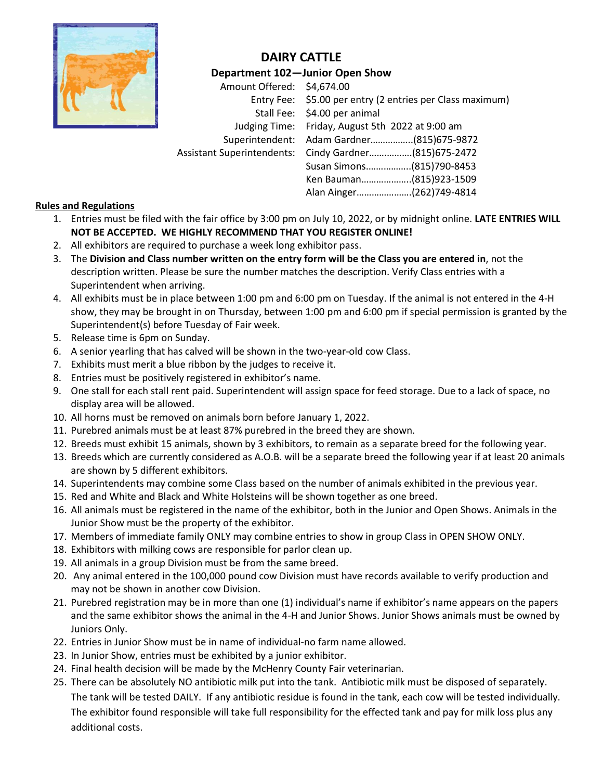

## **DAIRY CATTLE**

**Department 102—Junior Open Show**

Amount Offered: \$4,674.00 Entry Fee: \$5.00 per entry (2 entries per Class maximum) Stall Fee: \$4.00 per animal Judging Time: Friday, August 5th 2022 at 9:00 am Superintendent: Adam Gardner……………..(815)675-9872 Assistant Superintendents: Cindy Gardner…….……….(815)675-2472 Susan Simons.……………..(815)790-8453 Ken Bauman………………..(815)923-1509 Alan Ainger………………….(262)749-4814

### **Rules and Regulations**

- 1. Entries must be filed with the fair office by 3:00 pm on July 10, 2022, or by midnight online. **LATE ENTRIES WILL NOT BE ACCEPTED. WE HIGHLY RECOMMEND THAT YOU REGISTER ONLINE!**
- 2. All exhibitors are required to purchase a week long exhibitor pass.
- 3. The **Division and Class number written on the entry form will be the Class you are entered in**, not the description written. Please be sure the number matches the description. Verify Class entries with a Superintendent when arriving.
- 4. All exhibits must be in place between 1:00 pm and 6:00 pm on Tuesday. If the animal is not entered in the 4-H show, they may be brought in on Thursday, between 1:00 pm and 6:00 pm if special permission is granted by the Superintendent(s) before Tuesday of Fair week.
- 5. Release time is 6pm on Sunday.
- 6. A senior yearling that has calved will be shown in the two-year-old cow Class.
- 7. Exhibits must merit a blue ribbon by the judges to receive it.
- 8. Entries must be positively registered in exhibitor's name.
- 9. One stall for each stall rent paid. Superintendent will assign space for feed storage. Due to a lack of space, no display area will be allowed.
- 10. All horns must be removed on animals born before January 1, 2022.
- 11. Purebred animals must be at least 87% purebred in the breed they are shown.
- 12. Breeds must exhibit 15 animals, shown by 3 exhibitors, to remain as a separate breed for the following year.
- 13. Breeds which are currently considered as A.O.B. will be a separate breed the following year if at least 20 animals are shown by 5 different exhibitors.
- 14. Superintendents may combine some Class based on the number of animals exhibited in the previous year.
- 15. Red and White and Black and White Holsteins will be shown together as one breed.
- 16. All animals must be registered in the name of the exhibitor, both in the Junior and Open Shows. Animals in the Junior Show must be the property of the exhibitor.
- 17. Members of immediate family ONLY may combine entries to show in group Class in OPEN SHOW ONLY.
- 18. Exhibitors with milking cows are responsible for parlor clean up.
- 19. All animals in a group Division must be from the same breed.
- 20. Any animal entered in the 100,000 pound cow Division must have records available to verify production and may not be shown in another cow Division.
- 21. Purebred registration may be in more than one (1) individual's name if exhibitor's name appears on the papers and the same exhibitor shows the animal in the 4-H and Junior Shows. Junior Shows animals must be owned by Juniors Only.
- 22. Entries in Junior Show must be in name of individual-no farm name allowed.
- 23. In Junior Show, entries must be exhibited by a junior exhibitor.
- 24. Final health decision will be made by the McHenry County Fair veterinarian.
- 25. There can be absolutely NO antibiotic milk put into the tank. Antibiotic milk must be disposed of separately. The tank will be tested DAILY. If any antibiotic residue is found in the tank, each cow will be tested individually. The exhibitor found responsible will take full responsibility for the effected tank and pay for milk loss plus any additional costs.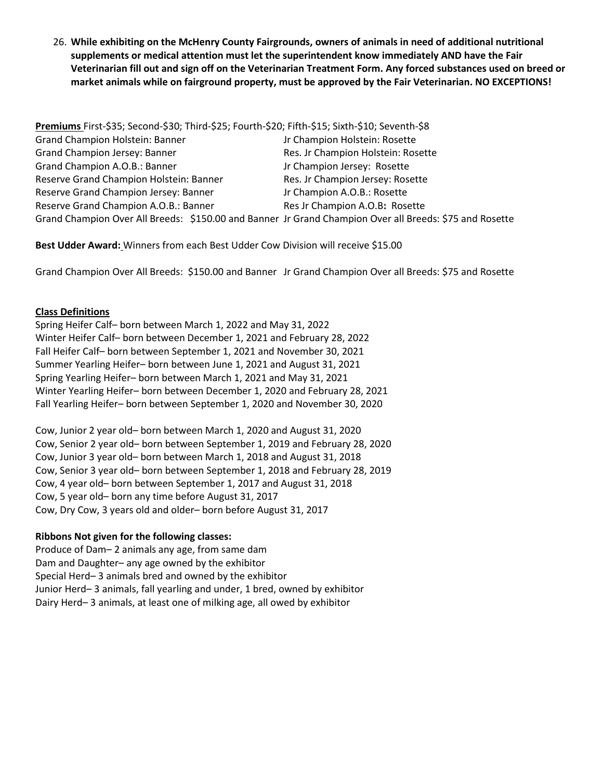26. **While exhibiting on the McHenry County Fairgrounds, owners of animals in need of additional nutritional supplements or medical attention must let the superintendent know immediately AND have the Fair Veterinarian fill out and sign off on the Veterinarian Treatment Form. Any forced substances used on breed or market animals while on fairground property, must be approved by the Fair Veterinarian. NO EXCEPTIONS!**

**Premiums** First-\$35; Second-\$30; Third-\$25; Fourth-\$20; Fifth-\$15; Sixth-\$10; Seventh-\$8 Grand Champion Holstein: Banner Jr Champion Holstein: Rosette Grand Champion Jersey: Banner Res. Jr Champion Holstein: Rosette Grand Champion A.O.B.: Banner Jr Champion Jersey: Rosette Reserve Grand Champion Holstein: Banner Res. Jr Champion Jersey: Rosette Reserve Grand Champion Jersey: Banner Jr Champion A.O.B.: Rosette Reserve Grand Champion A.O.B.: Banner Res Jr Champion A.O.B: Rosette Grand Champion Over All Breeds: \$150.00 and Banner Jr Grand Champion Over all Breeds: \$75 and Rosette

**Best Udder Award:** Winners from each Best Udder Cow Division will receive \$15.00

Grand Champion Over All Breeds: \$150.00 and Banner Jr Grand Champion Over all Breeds: \$75 and Rosette

#### **Class Definitions**

Spring Heifer Calf– born between March 1, 2022 and May 31, 2022 Winter Heifer Calf– born between December 1, 2021 and February 28, 2022 Fall Heifer Calf– born between September 1, 2021 and November 30, 2021 Summer Yearling Heifer– born between June 1, 2021 and August 31, 2021 Spring Yearling Heifer– born between March 1, 2021 and May 31, 2021 Winter Yearling Heifer– born between December 1, 2020 and February 28, 2021 Fall Yearling Heifer– born between September 1, 2020 and November 30, 2020

Cow, Junior 2 year old– born between March 1, 2020 and August 31, 2020 Cow, Senior 2 year old– born between September 1, 2019 and February 28, 2020 Cow, Junior 3 year old– born between March 1, 2018 and August 31, 2018 Cow, Senior 3 year old– born between September 1, 2018 and February 28, 2019 Cow, 4 year old– born between September 1, 2017 and August 31, 2018 Cow, 5 year old– born any time before August 31, 2017 Cow, Dry Cow, 3 years old and older– born before August 31, 2017

#### **Ribbons Not given for the following classes:**

Produce of Dam– 2 animals any age, from same dam Dam and Daughter– any age owned by the exhibitor Special Herd– 3 animals bred and owned by the exhibitor Junior Herd– 3 animals, fall yearling and under, 1 bred, owned by exhibitor Dairy Herd– 3 animals, at least one of milking age, all owed by exhibitor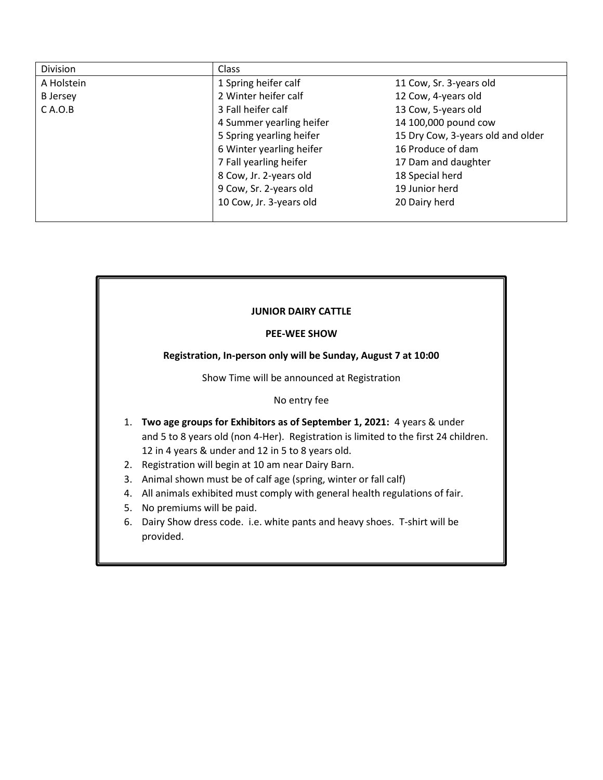| Division        | <b>Class</b>                                |                                   |
|-----------------|---------------------------------------------|-----------------------------------|
| A Holstein      | 1 Spring heifer calf                        | 11 Cow, Sr. 3-years old           |
| <b>B</b> Jersey | 2 Winter heifer calf<br>12 Cow, 4-years old |                                   |
| $C$ A.O.B       | 13 Cow, 5-years old<br>3 Fall heifer calf   |                                   |
|                 | 4 Summer yearling heifer                    | 14 100,000 pound cow              |
|                 | 5 Spring yearling heifer                    | 15 Dry Cow, 3-years old and older |
|                 | 6 Winter yearling heifer                    | 16 Produce of dam                 |
|                 | 7 Fall yearling heifer                      | 17 Dam and daughter               |
|                 | 8 Cow, Jr. 2-years old                      | 18 Special herd                   |
|                 | 9 Cow, Sr. 2-years old                      | 19 Junior herd                    |
|                 | 10 Cow, Jr. 3-years old                     | 20 Dairy herd                     |
|                 |                                             |                                   |

## **JUNIOR DAIRY CATTLE PEE-WEE SHOW Registration, In-person only will be Sunday, August 7 at 10:00** Show Time will be announced at Registration No entry fee 1. **Two age groups for Exhibitors as of September 1, 2021:** 4 years & under and 5 to 8 years old (non 4-Her). Registration is limited to the first 24 children. 12 in 4 years & under and 12 in 5 to 8 years old. 2. Registration will begin at 10 am near Dairy Barn. 3. Animal shown must be of calf age (spring, winter or fall calf) 4. All animals exhibited must comply with general health regulations of fair. 5. No premiums will be paid. 6. Dairy Show dress code. i.e. white pants and heavy shoes. T-shirt will be provided.